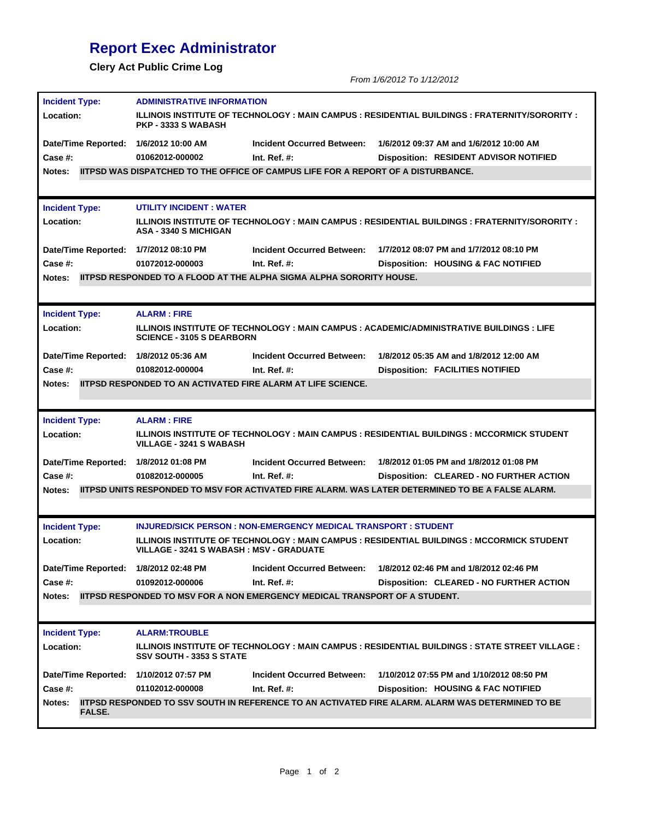## **Report Exec Administrator**

**Clery Act Public Crime Log**

*From 1/6/2012 To 1/12/2012*

| <b>Incident Type:</b>                  | <b>ADMINISTRATIVE INFORMATION</b>                                                                                                      |  |  |  |
|----------------------------------------|----------------------------------------------------------------------------------------------------------------------------------------|--|--|--|
| <b>Location:</b>                       | <b>ILLINOIS INSTITUTE OF TECHNOLOGY : MAIN CAMPUS : RESIDENTIAL BUILDINGS : FRATERNITY/SORORITY :</b><br><b>PKP - 3333 S WABASH</b>    |  |  |  |
| Date/Time Reported: 1/6/2012 10:00 AM  | 1/6/2012 09:37 AM and 1/6/2012 10:00 AM<br><b>Incident Occurred Between:</b>                                                           |  |  |  |
| Case #:                                | <b>Disposition: RESIDENT ADVISOR NOTIFIED</b><br>01062012-000002<br>Int. Ref. $#$ :                                                    |  |  |  |
| Notes:                                 | IITPSD WAS DISPATCHED TO THE OFFICE OF CAMPUS LIFE FOR A REPORT OF A DISTURBANCE.                                                      |  |  |  |
|                                        |                                                                                                                                        |  |  |  |
| <b>Incident Type:</b>                  | <b>UTILITY INCIDENT: WATER</b>                                                                                                         |  |  |  |
| <b>Location:</b>                       | <u>ILLINOIS INSTITUTE OF TECHNOLOGY : MAIN CAMPUS : RESIDENTIAL BUILDINGS : FRATERNITY/SORORITY :</u><br>ASA - 3340 S MICHIGAN         |  |  |  |
| Date/Time Reported: 1/7/2012 08:10 PM  | 1/7/2012 08:07 PM and 1/7/2012 08:10 PM<br><b>Incident Occurred Between:</b>                                                           |  |  |  |
| Case #:                                | Int. Ref. $#$ :<br>Disposition: HOUSING & FAC NOTIFIED<br>01072012-000003                                                              |  |  |  |
| Notes:                                 | <b>IITPSD RESPONDED TO A FLOOD AT THE ALPHA SIGMA ALPHA SORORITY HOUSE.</b>                                                            |  |  |  |
|                                        |                                                                                                                                        |  |  |  |
| <b>Incident Type:</b>                  | <b>ALARM: FIRE</b>                                                                                                                     |  |  |  |
| <b>Location:</b>                       | ILLINOIS INSTITUTE OF TECHNOLOGY : MAIN CAMPUS : ACADEMIC/ADMINISTRATIVE BUILDINGS : LIFE<br><b>SCIENCE - 3105 S DEARBORN</b>          |  |  |  |
| Date/Time Reported: 1/8/2012 05:36 AM  | <b>Incident Occurred Between:</b><br>1/8/2012 05:35 AM and 1/8/2012 12:00 AM                                                           |  |  |  |
| Case #:                                | 01082012-000004<br>Int. Ref. $#$ :<br><b>Disposition: FACILITIES NOTIFIED</b>                                                          |  |  |  |
| <b>Notes:</b>                          | <b>IITPSD RESPONDED TO AN ACTIVATED FIRE ALARM AT LIFE SCIENCE.</b>                                                                    |  |  |  |
| <b>Incident Type:</b>                  | <b>ALARM: FIRE</b>                                                                                                                     |  |  |  |
| Location:                              | ILLINOIS INSTITUTE OF TECHNOLOGY : MAIN CAMPUS : RESIDENTIAL BUILDINGS : MCCORMICK STUDENT<br><b>VILLAGE - 3241 S WABASH</b>           |  |  |  |
| Date/Time Reported: 1/8/2012 01:08 PM  | 1/8/2012 01:05 PM and 1/8/2012 01:08 PM<br>Incident Occurred Between:                                                                  |  |  |  |
| Case #:                                | Int. Ref. $#$ :<br>Disposition: CLEARED - NO FURTHER ACTION<br>01082012-000005                                                         |  |  |  |
| Notes:                                 | IITPSD UNITS RESPONDED TO MSV FOR ACTIVATED FIRE ALARM. WAS LATER DETERMINED TO BE A FALSE ALARM.                                      |  |  |  |
|                                        |                                                                                                                                        |  |  |  |
| <b>Incident Type:</b>                  | <b>INJURED/SICK PERSON: NON-EMERGENCY MEDICAL TRANSPORT: STUDENT</b>                                                                   |  |  |  |
| Location:                              | ILLINOIS INSTITUTE OF TECHNOLOGY : MAIN CAMPUS : RESIDENTIAL BUILDINGS : MCCORMICK STUDENT<br>VILLAGE - 3241 S WABASH : MSV - GRADUATE |  |  |  |
| Date/Time Reported: 1/8/2012 02:48 PM  | 1/8/2012 02:46 PM and 1/8/2012 02:46 PM<br><b>Incident Occurred Between:</b>                                                           |  |  |  |
| Case #:                                | 01092012-000006<br>Int. Ref. $#$ :<br>Disposition: CLEARED - NO FURTHER ACTION                                                         |  |  |  |
| Notes:                                 | <b>IITPSD RESPONDED TO MSV FOR A NON EMERGENCY MEDICAL TRANSPORT OF A STUDENT.</b>                                                     |  |  |  |
|                                        |                                                                                                                                        |  |  |  |
| <b>Incident Type:</b>                  |                                                                                                                                        |  |  |  |
|                                        | <b>ALARM:TROUBLE</b>                                                                                                                   |  |  |  |
| Location:                              | <b>ILLINOIS INSTITUTE OF TECHNOLOGY : MAIN CAMPUS : RESIDENTIAL BUILDINGS : STATE STREET VILLAGE :</b><br>SSV SOUTH - 3353 S STATE     |  |  |  |
| Date/Time Reported: 1/10/2012 07:57 PM | <b>Incident Occurred Between:</b><br>1/10/2012 07:55 PM and 1/10/2012 08:50 PM                                                         |  |  |  |
| Case #:                                | 01102012-000008<br>Int. Ref. $#$ :<br><b>Disposition: HOUSING &amp; FAC NOTIFIED</b>                                                   |  |  |  |